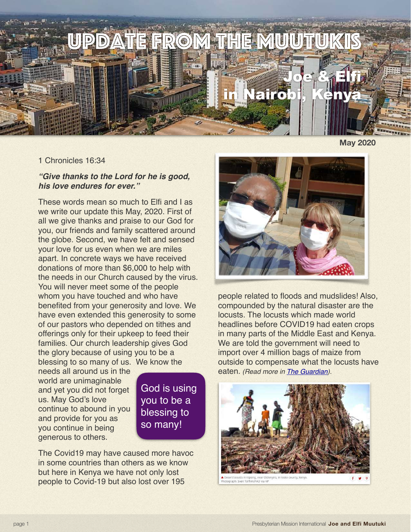

**May 2020**

## 1 Chronicles 16:34

## *"Give thanks to the Lord for he is good, his love endures for ever."*

These words mean so much to Elfi and I as we write our update this May, 2020. First of all we give thanks and praise to our God for you, our friends and family scattered around the globe. Second, we have felt and sensed your love for us even when we are miles apart. In concrete ways we have received donations of more than \$6,000 to help with the needs in our Church caused by the virus. You will never meet some of the people whom you have touched and who have benefited from your generosity and love. We have even extended this generosity to some of our pastors who depended on tithes and offerings only for their upkeep to feed their families. Our church leadership gives God the glory because of using you to be a blessing to so many of us. We know the

needs all around us in the world are unimaginable and yet you did not forget us. May God's love continue to abound in you and provide for you as you continue in being generous to others.

God is using you to be a blessing to so many!

The Covid19 may have caused more havoc in some countries than others as we know but here in Kenya we have not only lost people to Covid-19 but also lost over 195



people related to floods and mudslides! Also, compounded by the natural disaster are the locusts. The locusts which made world headlines before COVID19 had eaten crops in many parts of the Middle East and Kenya. We are told the government will need to import over 4 million bags of maize from outside to compensate what the locusts have eaten. *(Read more in [The Guardian](https://www.theguardian.com/global-development/2020/apr/13/second-wave-of-locusts-in-east-africa-said-to-be-20-times-worse)).*



/FAO via AP